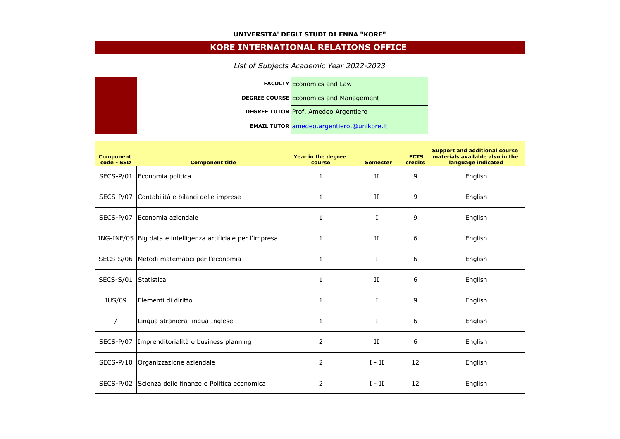## **UNIVERSITA' DEGLI STUDI DI ENNA "KORE"**

## **KORE INTERNATIONAL RELATIONS OFFICE**

*List of Subjects Academic Year 2022-2023*

**FACULTY** Economics and Law **DEGREE COURSE** Economics and Management **DEGREE TUTOR Prof. Amedeo Argentiero EMAIL TUTOR** amedeo.argentiero.@unikore.it

| <b>Component</b><br>code - SSD | <b>Component title</b>                            | Year in the degree<br>course | <b>Semester</b> | <b>ECTS</b><br>credits | <b>Support and additional course</b><br>materials available also in the<br>language indicated |
|--------------------------------|---------------------------------------------------|------------------------------|-----------------|------------------------|-----------------------------------------------------------------------------------------------|
| SECS-P/01                      | Economia politica                                 | $\mathbf{1}$                 | II              | 9                      | English                                                                                       |
| SECS-P/07                      | Contabilità e bilanci delle imprese               | $\mathbf{1}$                 | $_{\rm II}$     | 9                      | English                                                                                       |
| SECS-P/07                      | Economia aziendale                                | $\mathbf{1}$                 | $\mathbf I$     | 9                      | English                                                                                       |
| ING-INF/05                     | Big data e intelligenza artificiale per l'impresa | $\mathbf{1}$                 | II              | 6                      | English                                                                                       |
| <b>SECS-S/06</b>               | Metodi matematici per l'economia                  | $\mathbf{1}$                 | $\bf{I}$        | 6                      | English                                                                                       |
| <b>SECS-S/01</b>               | Statistica                                        | $\mathbf{1}$                 | II              | 6                      | English                                                                                       |
| <b>IUS/09</b>                  | Elementi di diritto                               | $\mathbf{1}$                 | $\bf{I}$        | 9                      | English                                                                                       |
| $\prime$                       | Lingua straniera-lingua Inglese                   | $\mathbf{1}$                 | $\bf{I}$        | 6                      | English                                                                                       |
| SECS-P/07                      | Imprenditorialità e business planning             | $\overline{2}$               | II              | 6                      | English                                                                                       |
| $SECS-P/10$                    | Organizzazione aziendale                          | $\overline{2}$               | $I - II$        | 12                     | English                                                                                       |
| SECS-P/02                      | Scienza delle finanze e Politica economica        | $\overline{2}$               | $I - II$        | 12                     | English                                                                                       |